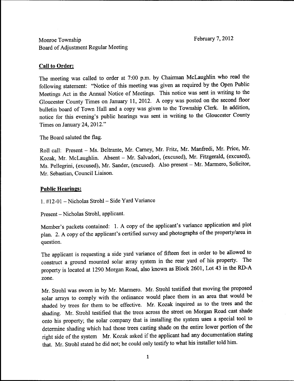February 7, 2012

# Monroe Township Board of Adjustment Regular Meeting

# Call to Order

The meeting was called to order at 7:00 p.m. by Chairman McLaughlin who read the following statement: "Notice of this meeting was given as required by the Open Public Meetings Act in the Annual Notice of Meetings. This notice was sent in writing to the Gloucester County Times on January 11, 2012. A copy was posted on the second floor bulletin board of Town Hall and a copy was given to the Township Clerk. In addition notice for this evening's public hearings was sent in writing to the Gloucester County Times on January 24,  $2012$ ."

The Board saluted the flag

Roll call: Present - Ms. Beltrante, Mr. Carney, Mr. Fritz, Mr. Manfredi, Mr. Price, Mr. Kozak, Mr. McLaughlin. Absent - Mr. Salvadori, (excused), Mr. Fitzgerald, (excused), Ms. Pellegrini, (excused), Mr. Sander, (excused). Also present - Mr. Marmero, Solicitor, Mr. Sebastian, Council Liaison.

## **Public Hearings:**

1.  $\#12 - 01$  – Nicholas Strohl – Side Yard Variance

Present - Nicholas Strohl, applicant.

Member's packets contained: 1. A copy of the applicant's variance application and plot plan. 2. A copy of the applicant's certified survey and photographs of the property/area in question

The applicant is requesting a side yard variance of fifteen feet in order to be allowed to construct a ground mounted solar array system in the rear yard of his property. The property is located at 1290 Morgan Road, also known as Block 2601, Lot 43 in the RD-A zone

Mr. Strohl was sworn in by Mr. Marmero. Mr. Strohl testified that moving the proposed solar arrays to comply with the ordinance would place them in an area that would be shaded by trees for them to be effective. Mr. Kozak inquired as to the trees and the shading. Mr. Strohl testified that the trees across the street on Morgan Road cast shade onto his property; the solar company that is installing the system uses a special tool to determine shading which had those trees casting shade on the entire lower portion of the right side of the system Mr. Kozak asked if the applicant had any documentation stating that. Mr. Strohl stated he did not; he could only testify to what his installer told him.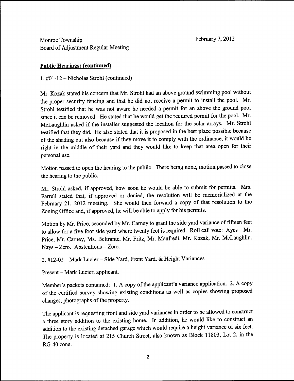February 7, 2012

Monroe Township Board of Adjustment Regular Meeting

## Public Hearings: (continued)

1.  $\text{\#01-12}$  – Nicholas Strohl (continued)

Mr. Kozak stated his concern that Mr. Strohl had an above ground swimming pool without the proper security fencing and that he did not receive a permit to install the pool. Mr. Strohl testified that he was not aware he needed <sup>a</sup> permit for an above the ground pool since it can be removed. He stated that he would get the required permit for the pool. Mr. McLaughlin asked if the installer suggested the location for the solar arrays. Mr. Strohl testified that they did. He also stated that it is proposed in the best place possible because of the shading but also because if they move it to comply with the ordinance it would be right in the middle of their yard and they would like to keep that area open for their personal use

Motion passed to open the hearing to the public. There being none, motion passed to close the hearing to the public.

Mr. Strohl asked, if approved, how soon he would be able to submit for permits. Mrs. Farrell stated that, if approved or denied, the resolution will be memorialized at the February 21, 2012 meeting. She would then forward a copy of that resolution to the Zoning Office and, if approved, he will be able to apply for his permits.

Motion by Mr. Price, seconded by Mr. Carney to grant the side yard variance of fifteen feet to allow for a five foot side yard where twenty feet is required. Roll call vote:  $Ayes-Mr$ . Price, Mr. Carney, Ms. Beltrante, Mr. Fritz, Mr. Manfredi, Mr. Kozak, Mr. McLaughlin.  $Nays - Zero.$  Abstentions  $- Zero.$ 

2. #12-02 - Mark Lucier - Side Yard, Front Yard, & Height Variances

Present – Mark Lucier, applicant.

Member's packets contained: 1. A copy of the applicant's variance application. 2. A copy of the certified survey showing existing conditions as well as copies showing proposed changes, photographs of the property.

The applicant is requesting front and side yard variances in order to be allowed to construct a three story addition to the existing home. In addition, he would like to construct an addition to the existing detached garage which would require <sup>a</sup>height variance of six feet The property is located at 215 Church Street, also known as Block 11803, Lot 2, in the RG-40 zone.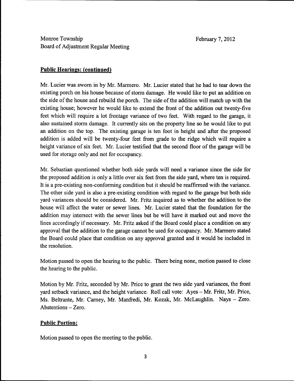# Monroe Township Board of Adjustment Regular Meeting

### Public Hearings: (continued)

Mr. Lucier was sworn in by Mr. Marmero. Mr. Lucier stated that he had to tear down the existing porch on his house because of storm damage. He would like to put an addition on the side of the house and rebuild the porch. The side of the addition will match up with the existing house; however he would like to extend the front of the addition out twenty-five feet which will require a lot frontage variance of two feet. With regard to the garage, it also sustained storm damage. It currently sits on the property line so he would like to put an addition on the top. The existing garage is ten foot in height and after the proposed addition is added will be twenty four feet from grade to the ridge which will require <sup>a</sup> height variance of six feet. Mr. Lucier testified that the second floor of the garage will be used for storage only and not for occupancy

Mr. Sebastian questioned whether both side yards will need a variance since the side for the proposed addition is only a little over six feet from the side yard, where ten is required. It is a pre existing non conforming condition but it should be reaffirmed with the variance The other side yard is also a pre existing condition with regard to the garage but both side yard variances should be considered. Mr. Fritz inquired as to whether the addition to the house will affect the water or sewer lines. Mr. Lucier stated that the foundation for the addition may intersect with the sewer lines but he will have it marked out and move the lines accordingly if necessary. Mr. Fritz asked if the Board could place a condition on any approval that the addition to the garage cannot be used for occupancy. Mr. Marmero stated the Board could place that condition on any approval granted and it would be included in the resolution

Motion passed to open the hearing to the public. There being none, motion passed to close the hearing to the public

Motion by Mr. Fritz, seconded by Mr. Price to grant the two side yard variances, the front yard setback variance, and the height variance. Roll call vote:  $Ayes-Mr$ . Fritz, Mr. Price, Ms. Beltrante, Mr. Carney, Mr. Manfredi, Mr. Kozak, Mr. McLaughlin. Nays - Zero.  $Abstentions - Zero.$ 

### Public Portion

Motion passed to open the meeting to the public